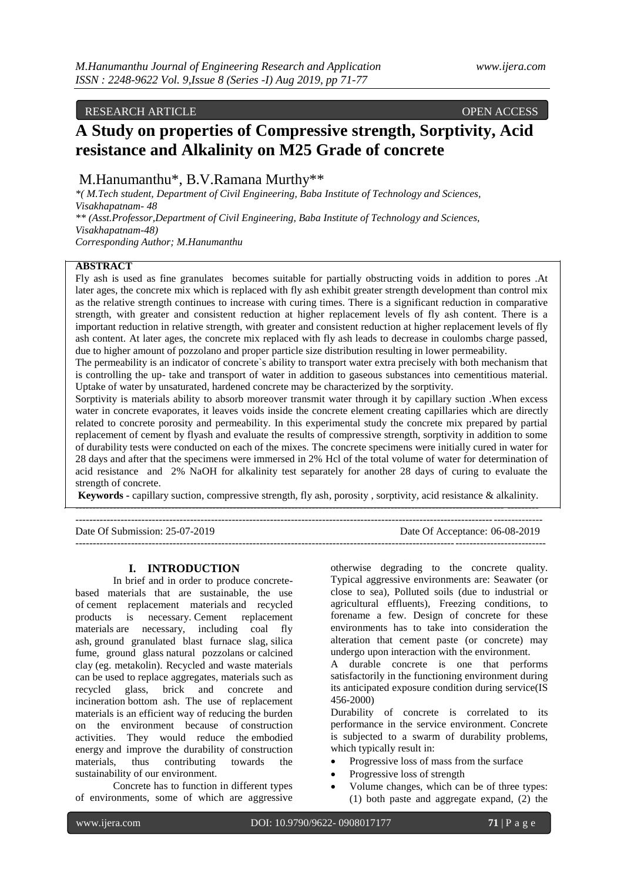## RESEARCH ARTICLE **CONSUMING A RESEARCH ARTICLE**

# **A Study on properties of Compressive strength, Sorptivity, Acid resistance and Alkalinity on M25 Grade of concrete**

## M.Hanumanthu\*, B.V.Ramana Murthy\*\*

*\*( M.Tech student, Department of Civil Engineering, Baba Institute of Technology and Sciences, Visakhapatnam- 48 \*\* (Asst.Professor,Department of Civil Engineering, Baba Institute of Technology and Sciences, Visakhapatnam-48) Corresponding Author; M.Hanumanthu*

#### **ABSTRACT**

Fly ash is used as fine granulates becomes suitable for partially obstructing voids in addition to pores .At later ages, the concrete mix which is replaced with fly ash exhibit greater strength development than control mix as the relative strength continues to increase with curing times. There is a significant reduction in comparative strength, with greater and consistent reduction at higher replacement levels of fly ash content. There is a important reduction in relative strength, with greater and consistent reduction at higher replacement levels of fly ash content. At later ages, the concrete mix replaced with fly ash leads to decrease in coulombs charge passed, due to higher amount of pozzolano and proper particle size distribution resulting in lower permeability.

The permeability is an indicator of concrete`s ability to transport water extra precisely with both mechanism that is controlling the up- take and transport of water in addition to gaseous substances into cementitious material. Uptake of water by unsaturated, hardened concrete may be characterized by the sorptivity.

Sorptivity is materials ability to absorb moreover transmit water through it by capillary suction .When excess water in concrete evaporates, it leaves voids inside the concrete element creating capillaries which are directly related to concrete porosity and permeability. In this experimental study the concrete mix prepared by partial replacement of cement by flyash and evaluate the results of compressive strength, sorptivity in addition to some of durability tests were conducted on each of the mixes. The concrete specimens were initially cured in water for 28 days and after that the specimens were immersed in 2% Hcl of the total volume of water for determination of acid resistance and 2% NaOH for alkalinity test separately for another 28 days of curing to evaluate the strength of concrete.

**Keywords -** capillary suction, compressive strength, fly ash, porosity , sorptivity, acid resistance & alkalinity. ----------------------------------------------------------------------------------------------------------------------------- ---------

| Date Of Submission: 25-07-2019 | Date Of Acceptance: 06-08-2019 |
|--------------------------------|--------------------------------|
|                                |                                |

#### **I. INTRODUCTION**

In brief and in order to produce concretebased materials that are sustainable, the use of [cement replacement materials](https://www.sciencedirect.com/topics/engineering/cement-replacement-material) and recycled products is necessary. Cement replacement materials are necessary, including coal fly ash, [ground granulated blast furnace slag,](https://www.sciencedirect.com/topics/engineering/ground-granulated-blastfurnace-slag) [silica](https://www.sciencedirect.com/topics/engineering/silica-fume)  [fume,](https://www.sciencedirect.com/topics/engineering/silica-fume) ground glass [natural pozzolans](https://www.sciencedirect.com/topics/engineering/natural-pozzolans) or [calcined](https://www.sciencedirect.com/topics/engineering/calcined-clay)  [clay](https://www.sciencedirect.com/topics/engineering/calcined-clay) (eg. metakolin). Recycled and waste materials can be used to replace aggregates, materials such as recycled glass, brick and concrete and incineration [bottom ash.](https://www.sciencedirect.com/topics/engineering/bottom-ash) The use of replacement materials is an efficient way of reducing the burden on the environment because of [construction](https://www.sciencedirect.com/topics/engineering/construction-activity)  [activities.](https://www.sciencedirect.com/topics/engineering/construction-activity) They would reduce the [embodied](https://www.sciencedirect.com/topics/engineering/embodied-energy)  [energy](https://www.sciencedirect.com/topics/engineering/embodied-energy) and improve the durability of [construction](https://www.sciencedirect.com/topics/materials-science/building-material)  [materials,](https://www.sciencedirect.com/topics/materials-science/building-material) thus contributing towards the sustainability of our environment.

Concrete has to function in different types of environments, some of which are aggressive otherwise degrading to the concrete quality. Typical aggressive environments are: Seawater (or close to sea), Polluted soils (due to industrial or agricultural effluents), Freezing conditions, to forename a few. Design of concrete for these environments has to take into consideration the alteration that cement paste (or concrete) may undergo upon interaction with the environment.

A durable concrete is one that performs satisfactorily in the functioning environment during its anticipated exposure condition during service(IS 456-2000)

Durability of concrete is correlated to its performance in the service environment. Concrete is subjected to a swarm of durability problems, which typically result in:

- Progressive loss of mass from the surface
- Progressive loss of strength
- Volume changes, which can be of three types: (1) both paste and aggregate expand, (2) the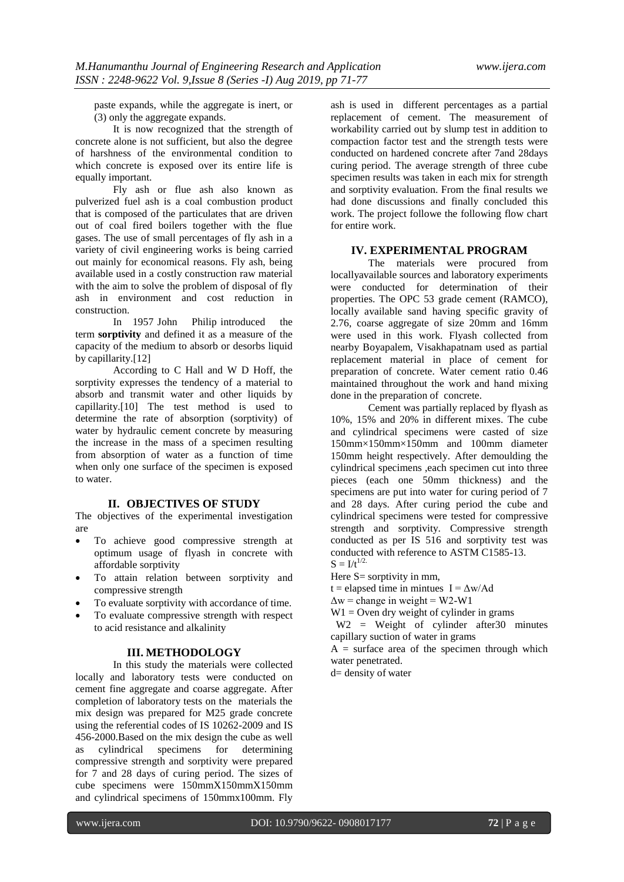paste expands, while the aggregate is inert, or (3) only the aggregate expands.

It is now recognized that the strength of concrete alone is not sufficient, but also the degree of harshness of the environmental condition to which concrete is exposed over its entire life is equally important.

Fly ash or flue ash also known as pulverized fuel ash is a coal combustion product that is composed of the particulates that are driven out of coal fired boilers together with the flue gases. The use of small percentages of fly ash in a variety of civil engineering works is being carried out mainly for economical reasons. Fly ash, being available used in a costly construction raw material with the aim to solve the problem of disposal of fly ash in environment and cost reduction in construction.

In 1957 [John Philip i](https://en.wikipedia.org/wiki/John_R._Philip)ntroduced the term **sorptivity** and defined it as a measure of the capacity of the medium to absorb or desorbs liquid by [capillarity.\[12\]](https://en.wikipedia.org/wiki/Capillarity)

According to C Hall and W D Hoff, the sorptivity expresses the tendency of a material to absorb and transmit water and other liquids by capillarit[y.\[10\] T](https://en.wikipedia.org/wiki/Sorptivity#cite_note-WTBSC2-2)he test method is used to determine the rate of absorption (sorptivity) of water by hydraulic cement concrete by measuring the increase in the mass of a specimen resulting from absorption of water as a function of time when only one surface of the specimen is exposed to water.

#### **II. OBJECTIVES OF STUDY**

The objectives of the experimental investigation are

- To achieve good compressive strength at optimum usage of flyash in concrete with affordable sorptivity
- To attain relation between sorptivity and compressive strength
- To evaluate sorptivity with accordance of time.
- To evaluate compressive strength with respect to acid resistance and alkalinity

#### **III. METHODOLOGY**

In this study the materials were collected locally and laboratory tests were conducted on cement fine aggregate and coarse aggregate. After completion of laboratory tests on the materials the mix design was prepared for M25 grade concrete using the referential codes of IS 10262-2009 and IS 456-2000.Based on the mix design the cube as well as cylindrical specimens for determining compressive strength and sorptivity were prepared for 7 and 28 days of curing period. The sizes of cube specimens were 150mmX150mmX150mm and cylindrical specimens of 150mmx100mm. Fly

ash is used in different percentages as a partial replacement of cement. The measurement of workability carried out by slump test in addition to compaction factor test and the strength tests were conducted on hardened concrete after 7and 28days curing period. The average strength of three cube specimen results was taken in each mix for strength and sorptivity evaluation. From the final results we had done discussions and finally concluded this work. The project followe the following flow chart for entire work.

#### **IV. EXPERIMENTAL PROGRAM**

The materials were procured from locallyavailable sources and laboratory experiments were conducted for determination of their properties. The OPC 53 grade cement (RAMCO), locally available sand having specific gravity of 2.76, coarse aggregate of size 20mm and 16mm were used in this work. Flyash collected from nearby Boyapalem, Visakhapatnam used as partial replacement material in place of cement for preparation of concrete. Water cement ratio 0.46 maintained throughout the work and hand mixing done in the preparation of concrete.

Cement was partially replaced by flyash as 10%, 15% and 20% in different mixes. The cube and cylindrical specimens were casted of size 150mm×150mm×150mm and 100mm diameter 150mm height respectively. After demoulding the cylindrical specimens ,each specimen cut into three pieces (each one 50mm thickness) and the specimens are put into water for curing period of 7 and 28 days. After curing period the cube and cylindrical specimens were tested for compressive strength and sorptivity. Compressive strength conducted as per IS 516 and sorptivity test was conducted with reference to ASTM C1585-13.  $S = I/t^{1/2}$ .

Here  $S=$  sorptivity in mm,

t = elapsed time in mintues  $I = \Delta w / Ad$ 

 $\Delta w =$ change in weight = W2-W1

 $W1 =$  Oven dry weight of cylinder in grams

 W2 = Weight of cylinder after30 minutes capillary suction of water in grams

 $A =$  surface area of the specimen through which water penetrated.

d= density of water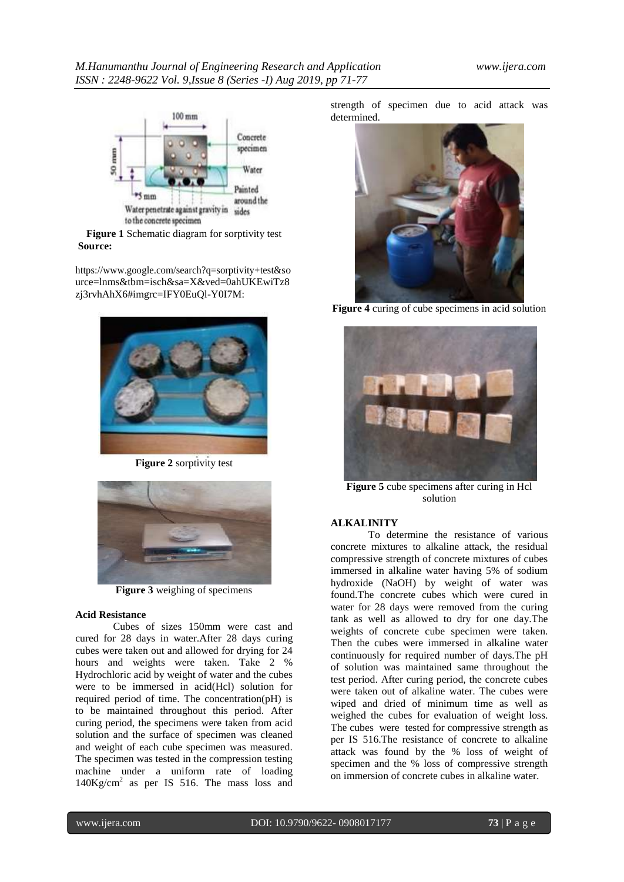

**Figure 1** Schematic diagram for sorptivity test **Source:**

[https://www.google.com/search?q=sorptivity+test&so](https://www.google.com/search?q=sorptivity%2Btest&source=lnms&tbm=isch&sa=X&ved=0ahUKEwiTz8zj3rvhAhX6&imgrc=IFY0EuQl-Y0I7M) urce=lnms&tbm=isch&sa=X&ved=0ahUKEwiTz8 [zj3rvhAhX6#imgrc=IFY0EuQl-Y0I7M:](https://www.google.com/search?q=sorptivity%2Btest&source=lnms&tbm=isch&sa=X&ved=0ahUKEwiTz8zj3rvhAhX6&imgrc=IFY0EuQl-Y0I7M)



**Figure 2** sorptivity test



**Figure 3** weighing of specimens

#### **Acid Resistance**

Cubes of sizes 150mm were cast and cured for 28 days in water.After 28 days curing cubes were taken out and allowed for drying for 24 hours and weights were taken. Take 2 % Hydrochloric acid by weight of water and the cubes were to be immersed in acid(Hcl) solution for required period of time. The concentration(pH) is to be maintained throughout this period. After curing period, the specimens were taken from acid solution and the surface of specimen was cleaned and weight of each cube specimen was measured. The specimen was tested in the compression testing machine under a uniform rate of loading 140Kg/cm<sup>2</sup> as per IS 516. The mass loss and strength of specimen due to acid attack was determined.



**Figure 4** curing of cube specimens in acid solution



**Figure 5** cube specimens after curing in Hcl solution

#### **ALKALINITY**

To determine the resistance of various concrete mixtures to alkaline attack, the residual compressive strength of concrete mixtures of cubes immersed in alkaline water having 5% of sodium hydroxide (NaOH) by weight of water was found.The concrete cubes which were cured in water for 28 days were removed from the curing tank as well as allowed to dry for one day.The weights of concrete cube specimen were taken. Then the cubes were immersed in alkaline water continuously for required number of days.The pH of solution was maintained same throughout the test period. After curing period, the concrete cubes were taken out of alkaline water. The cubes were wiped and dried of minimum time as well as weighed the cubes for evaluation of weight loss. The cubes were tested for compressive strength as per IS 516.The resistance of concrete to alkaline attack was found by the % loss of weight of specimen and the % loss of compressive strength on immersion of concrete cubes in alkaline water.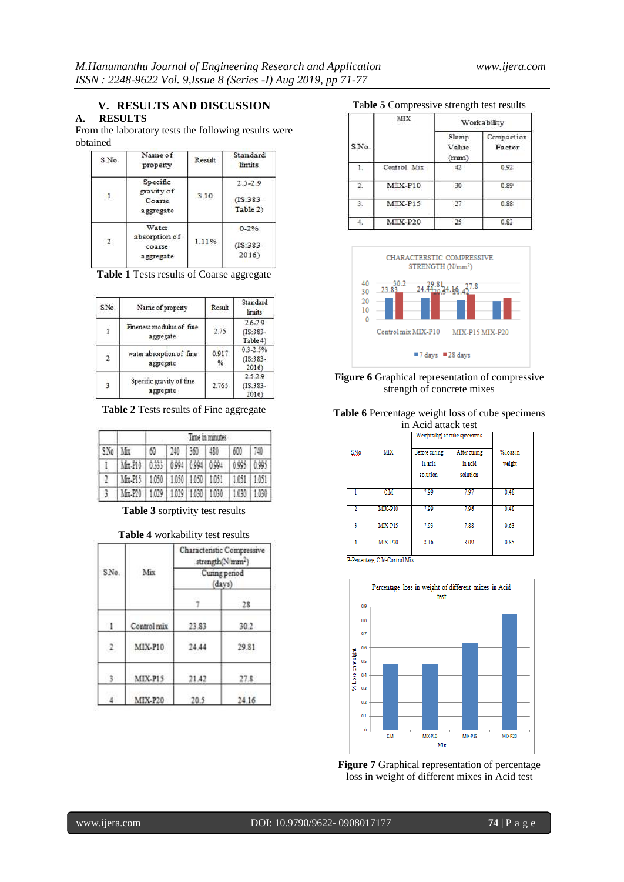#### **V. RESULTS AND DISCUSSION**

## **A. RESULTS**

From the laboratory tests the following results were obtained

| S.No.          | Name of<br>property                  | Result | Standard<br><i>limits</i> |
|----------------|--------------------------------------|--------|---------------------------|
|                | Specific<br>gravity of               |        | $2.5 - 2.9$               |
|                | Coarse<br>aggregate                  | 3.10   | $(IS:383-$<br>Table 2)    |
|                | <b>Water</b>                         |        | $0 - 2\%$                 |
| $\overline{2}$ | absorption of<br>coarse<br>aggregate | 1.11%  | $(IS:383-$<br>2016        |

|  |  |  |  |  | Table 1 Tests results of Coarse aggregate |
|--|--|--|--|--|-------------------------------------------|
|--|--|--|--|--|-------------------------------------------|

| S.No.                   | Name of property                      | Result                 | Standard<br>limits                     |
|-------------------------|---------------------------------------|------------------------|----------------------------------------|
| $\mathbf{i}$            | Fineness modulus of fine<br>aggregate | 2.75                   | $2.6 - 2.9$<br>$(IS:383 -$<br>Table 4) |
| $\overline{\mathbf{2}}$ | water absorption of fine<br>aggregate | 0.917<br>$\frac{9}{6}$ | $0.3 - 2.5%$<br>$(IS:383 -$<br>2016)   |
| $\overline{\mathbf{3}}$ | Specific gravity of fine<br>aggregate | 2.765                  | $2.5 - 2.9$<br>$(IS:383 -$<br>2016)    |

**Table 2** Tests results of Fine aggregate

| SNo Mrx |                                         |    |             | I'me in minutes         |             |     |
|---------|-----------------------------------------|----|-------------|-------------------------|-------------|-----|
|         |                                         | 60 | 240 360 480 |                         | 600         | 740 |
|         | Mrx-P10 0333 0994 0994 0994             |    |             |                         | 0.995 0.995 |     |
| ŋ.      | Mrx-P15   1.050   1.050   1.050   1.051 |    |             |                         | 1.051 1.051 |     |
|         | Mix-P20                                 |    |             | 1,029 1,029 1,030 1,030 | 1,030 1,030 |     |

**Table 3** sorptivity test results

#### **Table 4** workability test results

|            |             | Characteristic Compressive<br>strength(N/mm <sup>2</sup> ) |                         |  |
|------------|-------------|------------------------------------------------------------|-------------------------|--|
| S.No.      | Mix         |                                                            | Curing period<br>(days) |  |
|            |             |                                                            | 28                      |  |
| -1         | Control mix | 23.83                                                      | 30.2                    |  |
| $\sqrt{2}$ | MIX-P10     | 24.44                                                      | 29.81                   |  |
|            | MIX-P15     | 21.42                                                      | 27.8                    |  |
|            | MIX-P20     | 20.5                                                       | 24.16                   |  |

#### Ta**ble 5** Compressive strength test results

|       | MХ          |                        | Workability          |
|-------|-------------|------------------------|----------------------|
| S.No. |             | Slump<br>Value<br>(mm) | Compaction<br>Factor |
| 1.    | Control Mix | 42                     | 0.92                 |
| 2.    | $MIX-P10$   | 30                     | 0.89                 |
| З.    | MIX-P15     | 27.                    | 0.88                 |
|       | MIX-P20     |                        | 0.83                 |



#### **Figure 6** Graphical representation of compressive strength of concrete mixes

**Table 6** Percentage weight loss of cube specimens in Acid attack test

|      |                | III ACIU AUACN ICSL |                               |           |
|------|----------------|---------------------|-------------------------------|-----------|
|      |                |                     | Weights(kg) of cube specimens |           |
| S.Ng | MХ             | Before curing       | After curing                  | % loss in |
|      |                | in acid             | in acid                       | weight    |
|      |                | solution            | solution                      |           |
|      | CМ             | 7.99                | 7.97                          | 0.48      |
|      | <b>MIX-P10</b> | 7.99                | 7.96                          | 0.48      |
|      | <b>MIX-P15</b> | 7.93                | 7.88                          | 0.63      |
| 4    | <b>MIX-P20</b> | 8.16                | 8.09                          | 0.85      |

P-Percentage, C.M-Control Mix



**Figure 7** Graphical representation of percentage loss in weight of different mixes in Acid test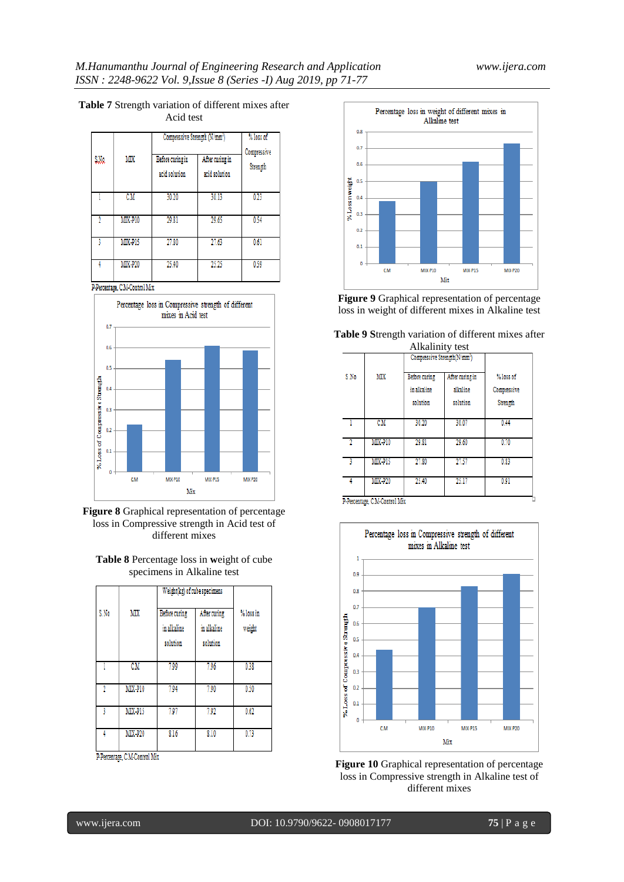| S.Na | MХ             | Compressive Strength (N/mm <sup>2</sup> )<br>Before curing in<br>acid solution | After curing in<br>acid solution | % loss of<br>Compressive<br>Strength |
|------|----------------|--------------------------------------------------------------------------------|----------------------------------|--------------------------------------|
|      | CM             | 30.20                                                                          | 30.13                            | 0.23                                 |
|      | <b>MIX-P10</b> | 29.81                                                                          | 29.65                            | 0.54                                 |
|      | MIX-P15        | 27.80                                                                          | 27.63                            | 0.61                                 |
|      | <b>MIX-P20</b> | 25.40                                                                          | 25.25                            | 0.59                                 |

## **Table 7** Strength variation of different mixes after

Acid test

P-Percentage, C.M-Control Mix







|      |                | Weight(kg) of cube specimens             |                                         |                     |
|------|----------------|------------------------------------------|-----------------------------------------|---------------------|
| S.No | MIX            | Before curing<br>in alkaline<br>solution | After curing<br>in alkaline<br>solution | % loss in<br>weight |
|      | CM             | 7.99                                     | 7.96                                    | 0.38                |
|      | MIX-P10        | 7.94                                     | 7.90                                    | 0.50                |
|      | <b>MIX-P15</b> | 797                                      | 7.92                                    | 0.62                |
|      | <b>MIX-P20</b> | 8.16                                     | 8.10                                    | 0.73                |

P-Percentage, C.M-Control Mix



**Figure 9** Graphical representation of percentage loss in weight of different mixes in Alkaline test

| Table 9 Strength variation of different mixes after |                 |  |  |
|-----------------------------------------------------|-----------------|--|--|
|                                                     | Alkalinity test |  |  |

|      |                |                                          | Compressive Strength(N/mm <sup>2</sup> ) |                                      |
|------|----------------|------------------------------------------|------------------------------------------|--------------------------------------|
| S No | MХ             | Before curing<br>in alkaline<br>solution | After curing in<br>alkaline<br>solution  | % loss of<br>Compressive<br>Strength |
|      | CM             | 30.20                                    | 30.07                                    | 0.44                                 |
| 2    | <b>MIX-P10</b> | 29.81                                    | 29.60                                    | 0.70                                 |
| 3    | <b>MIX-P15</b> | 27.80                                    | 27.57                                    | 0.83                                 |
| 4    | <b>MIX-P20</b> | 25.40                                    | 25.17                                    | 0.91                                 |





**Figure 10** Graphical representation of percentage loss in Compressive strength in Alkaline test of different mixes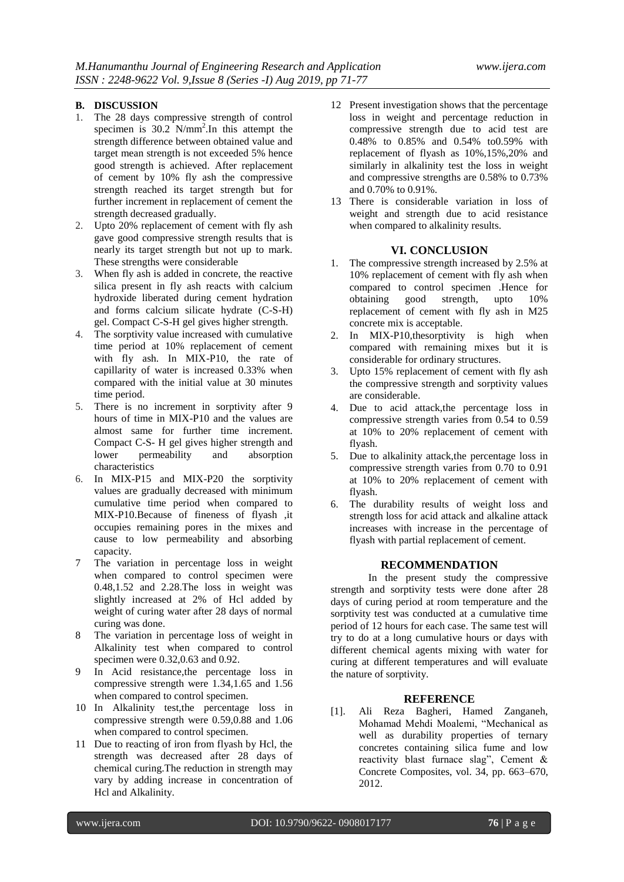#### **B. DISCUSSION**

- 1. The 28 days compressive strength of control specimen is  $30.2$  N/mm<sup>2</sup>. In this attempt the strength difference between obtained value and target mean strength is not exceeded 5% hence good strength is achieved. After replacement of cement by 10% fly ash the compressive strength reached its target strength but for further increment in replacement of cement the strength decreased gradually.
- 2. Upto 20% replacement of cement with fly ash gave good compressive strength results that is nearly its target strength but not up to mark. These strengths were considerable
- 3. When fly ash is added in concrete, the reactive silica present in fly ash reacts with calcium hydroxide liberated during cement hydration and forms calcium silicate hydrate (C-S-H) gel. Compact C-S-H gel gives higher strength.
- 4. The sorptivity value increased with cumulative time period at 10% replacement of cement with fly ash. In MIX-P10, the rate of capillarity of water is increased 0.33% when compared with the initial value at 30 minutes time period.
- 5. There is no increment in sorptivity after 9 hours of time in MIX-P10 and the values are almost same for further time increment. Compact C-S- H gel gives higher strength and lower permeability and absorption characteristics
- 6. In MIX-P15 and MIX-P20 the sorptivity values are gradually decreased with minimum cumulative time period when compared to MIX-P10.Because of fineness of flyash ,it occupies remaining pores in the mixes and cause to low permeability and absorbing capacity.
- 7 The variation in percentage loss in weight when compared to control specimen were 0.48,1.52 and 2.28.The loss in weight was slightly increased at 2% of Hcl added by weight of curing water after 28 days of normal curing was done.
- 8 The variation in percentage loss of weight in Alkalinity test when compared to control specimen were 0.32,0.63 and 0.92.
- 9 In Acid resistance,the percentage loss in compressive strength were 1.34,1.65 and 1.56 when compared to control specimen.
- 10 In Alkalinity test,the percentage loss in compressive strength were 0.59,0.88 and 1.06 when compared to control specimen.
- 11 Due to reacting of iron from flyash by Hcl, the strength was decreased after 28 days of chemical curing.The reduction in strength may vary by adding increase in concentration of Hcl and Alkalinity.
- 12 Present investigation shows that the percentage loss in weight and percentage reduction in compressive strength due to acid test are 0.48% to 0.85% and 0.54% to0.59% with replacement of flyash as 10%,15%,20% and similarly in alkalinity test the loss in weight and compressive strengths are 0.58% to 0.73% and 0.70% to 0.91%.
- 13 There is considerable variation in loss of weight and strength due to acid resistance when compared to alkalinity results.

### **VI. CONCLUSION**

- 1. The compressive strength increased by 2.5% at 10% replacement of cement with fly ash when compared to control specimen .Hence for obtaining good strength, upto 10% replacement of cement with fly ash in M25 concrete mix is acceptable.
- 2. In MIX-P10,thesorptivity is high when compared with remaining mixes but it is considerable for ordinary structures.
- 3. Upto 15% replacement of cement with fly ash the compressive strength and sorptivity values are considerable.
- 4. Due to acid attack,the percentage loss in compressive strength varies from 0.54 to 0.59 at 10% to 20% replacement of cement with flyash.
- 5. Due to alkalinity attack,the percentage loss in compressive strength varies from 0.70 to 0.91 at 10% to 20% replacement of cement with flyash.
- 6. The durability results of weight loss and strength loss for acid attack and alkaline attack increases with increase in the percentage of flyash with partial replacement of cement.

#### **RECOMMENDATION**

In the present study the compressive strength and sorptivity tests were done after 28 days of curing period at room temperature and the sorptivity test was conducted at a cumulative time period of 12 hours for each case. The same test will try to do at a long cumulative hours or days with different chemical agents mixing with water for curing at different temperatures and will evaluate the nature of sorptivity.

#### **REFERENCE**

[1]. Ali Reza Bagheri, Hamed Zanganeh, Mohamad Mehdi Moalemi, "Mechanical as well as durability properties of ternary concretes containing silica fume and low reactivity blast furnace slag", Cement & Concrete Composites, vol. 34, pp. 663–670, 2012.